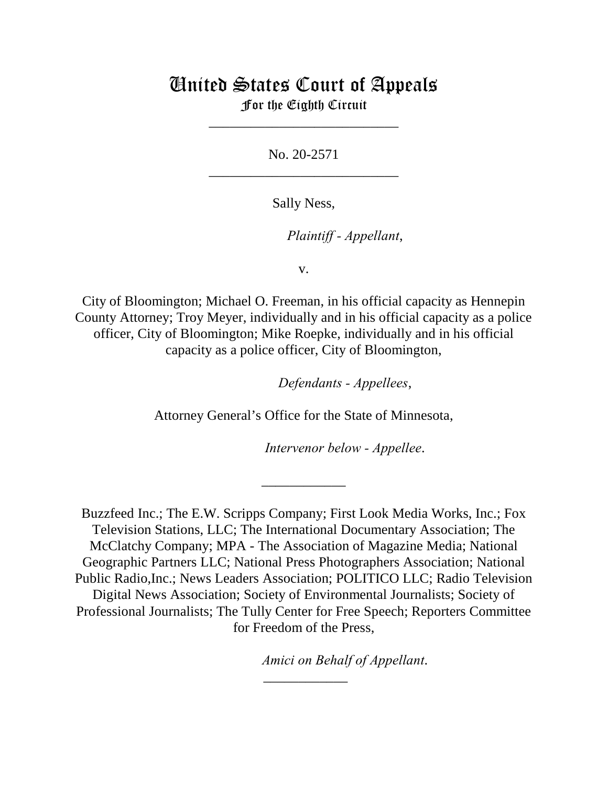# United States Court of Appeals For the Eighth Circuit

\_\_\_\_\_\_\_\_\_\_\_\_\_\_\_\_\_\_\_\_\_\_\_\_\_\_\_

No. 20-2571 \_\_\_\_\_\_\_\_\_\_\_\_\_\_\_\_\_\_\_\_\_\_\_\_\_\_\_

Sally Ness,

lllllllllllllllllllll*Plaintiff - Appellant*,

v.

City of Bloomington; Michael O. Freeman, in his official capacity as Hennepin County Attorney; Troy Meyer, individually and in his official capacity as a police officer, City of Bloomington; Mike Roepke, individually and in his official capacity as a police officer, City of Bloomington,

lllllllllllllllllllll*Defendants - Appellees*,

Attorney General's Office for the State of Minnesota,

\_\_\_\_\_\_\_\_\_\_\_\_

Intervenor below - Appellee.

Buzzfeed Inc.; The E.W. Scripps Company; First Look Media Works, Inc.; Fox Television Stations, LLC; The International Documentary Association; The McClatchy Company; MPA - The Association of Magazine Media; National Geographic Partners LLC; National Press Photographers Association; National Public Radio,Inc.; News Leaders Association; POLITICO LLC; Radio Television Digital News Association; Society of Environmental Journalists; Society of Professional Journalists; The Tully Center for Free Speech; Reporters Committee for Freedom of the Press,

\_\_\_\_\_\_\_\_\_\_\_\_

*Amici on Behalf of Appellant.*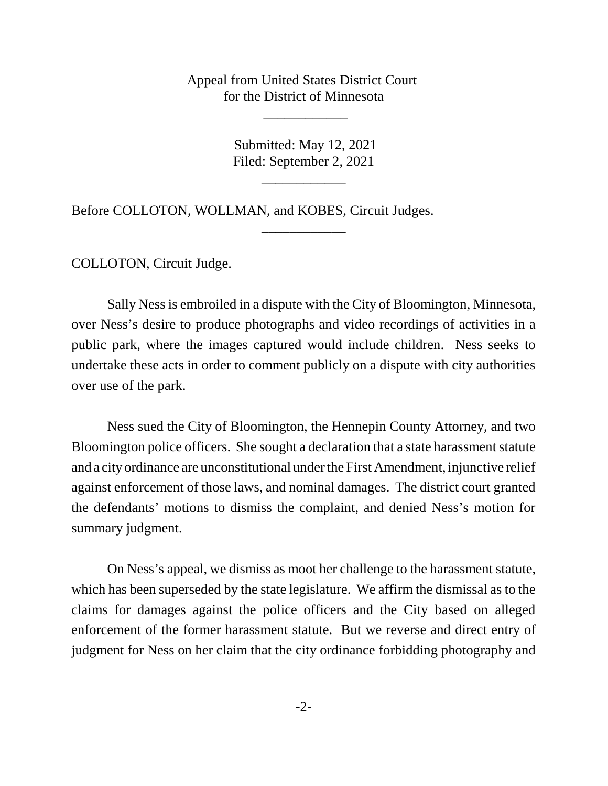Appeal from United States District Court for the District of Minnesota

\_\_\_\_\_\_\_\_\_\_\_\_

 Submitted: May 12, 2021 Filed: September 2, 2021

\_\_\_\_\_\_\_\_\_\_\_\_

\_\_\_\_\_\_\_\_\_\_\_\_

Before COLLOTON, WOLLMAN, and KOBES, Circuit Judges.

COLLOTON, Circuit Judge.

Sally Ness is embroiled in a dispute with the City of Bloomington, Minnesota, over Ness's desire to produce photographs and video recordings of activities in a public park, where the images captured would include children. Ness seeks to undertake these acts in order to comment publicly on a dispute with city authorities over use of the park.

Ness sued the City of Bloomington, the Hennepin County Attorney, and two Bloomington police officers. She sought a declaration that a state harassment statute and a city ordinance are unconstitutional under the First Amendment, injunctive relief against enforcement of those laws, and nominal damages. The district court granted the defendants' motions to dismiss the complaint, and denied Ness's motion for summary judgment.

On Ness's appeal, we dismiss as moot her challenge to the harassment statute, which has been superseded by the state legislature. We affirm the dismissal as to the claims for damages against the police officers and the City based on alleged enforcement of the former harassment statute. But we reverse and direct entry of judgment for Ness on her claim that the city ordinance forbidding photography and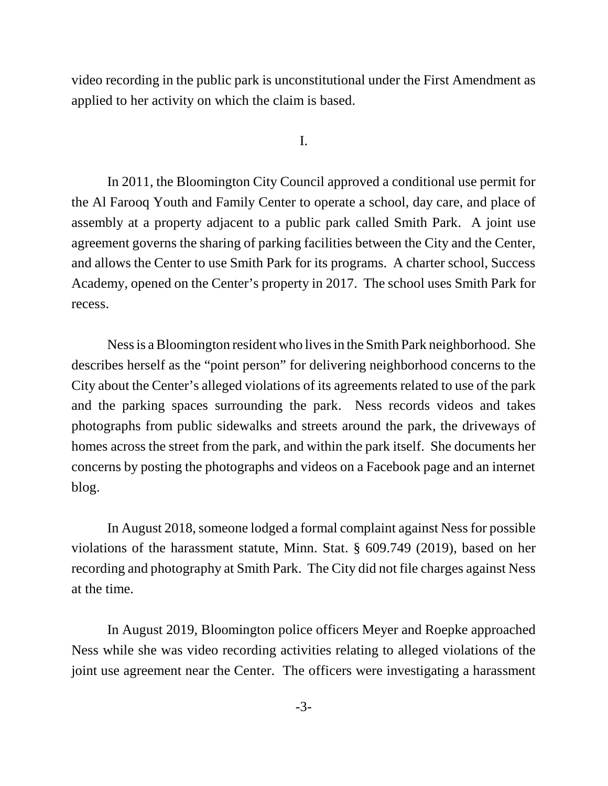video recording in the public park is unconstitutional under the First Amendment as applied to her activity on which the claim is based.

I.

In 2011, the Bloomington City Council approved a conditional use permit for the Al Farooq Youth and Family Center to operate a school, day care, and place of assembly at a property adjacent to a public park called Smith Park. A joint use agreement governs the sharing of parking facilities between the City and the Center, and allows the Center to use Smith Park for its programs. A charter school, Success Academy, opened on the Center's property in 2017. The school uses Smith Park for recess.

Ness is a Bloomington resident who lives in the Smith Park neighborhood. She describes herself as the "point person" for delivering neighborhood concerns to the City about the Center's alleged violations of its agreements related to use of the park and the parking spaces surrounding the park. Ness records videos and takes photographs from public sidewalks and streets around the park, the driveways of homes across the street from the park, and within the park itself. She documents her concerns by posting the photographs and videos on a Facebook page and an internet blog.

In August 2018, someone lodged a formal complaint against Ness for possible violations of the harassment statute, Minn. Stat. § 609.749 (2019), based on her recording and photography at Smith Park. The City did not file charges against Ness at the time.

In August 2019, Bloomington police officers Meyer and Roepke approached Ness while she was video recording activities relating to alleged violations of the joint use agreement near the Center. The officers were investigating a harassment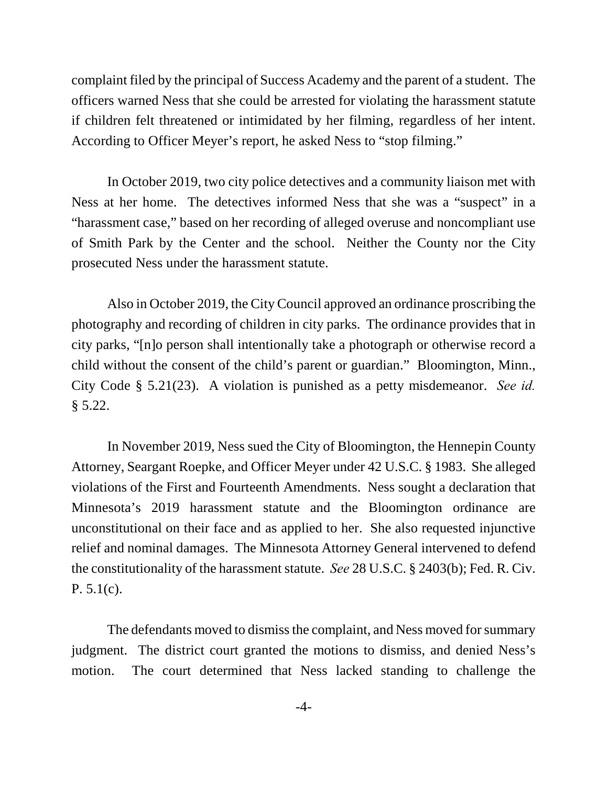complaint filed by the principal of Success Academy and the parent of a student. The officers warned Ness that she could be arrested for violating the harassment statute if children felt threatened or intimidated by her filming, regardless of her intent. According to Officer Meyer's report, he asked Ness to "stop filming."

In October 2019, two city police detectives and a community liaison met with Ness at her home. The detectives informed Ness that she was a "suspect" in a "harassment case," based on her recording of alleged overuse and noncompliant use of Smith Park by the Center and the school. Neither the County nor the City prosecuted Ness under the harassment statute.

Also in October 2019, the City Council approved an ordinance proscribing the photography and recording of children in city parks. The ordinance provides that in city parks, "[n]o person shall intentionally take a photograph or otherwise record a child without the consent of the child's parent or guardian." Bloomington, Minn., City Code § 5.21(23). A violation is punished as a petty misdemeanor. *See id.* § 5.22.

In November 2019, Ness sued the City of Bloomington, the Hennepin County Attorney, Seargant Roepke, and Officer Meyer under 42 U.S.C. § 1983. She alleged violations of the First and Fourteenth Amendments. Ness sought a declaration that Minnesota's 2019 harassment statute and the Bloomington ordinance are unconstitutional on their face and as applied to her. She also requested injunctive relief and nominal damages. The Minnesota Attorney General intervened to defend the constitutionality of the harassment statute. *See* 28 U.S.C. § 2403(b); Fed. R. Civ. P. 5.1(c).

The defendants moved to dismiss the complaint, and Ness moved for summary judgment. The district court granted the motions to dismiss, and denied Ness's motion. The court determined that Ness lacked standing to challenge the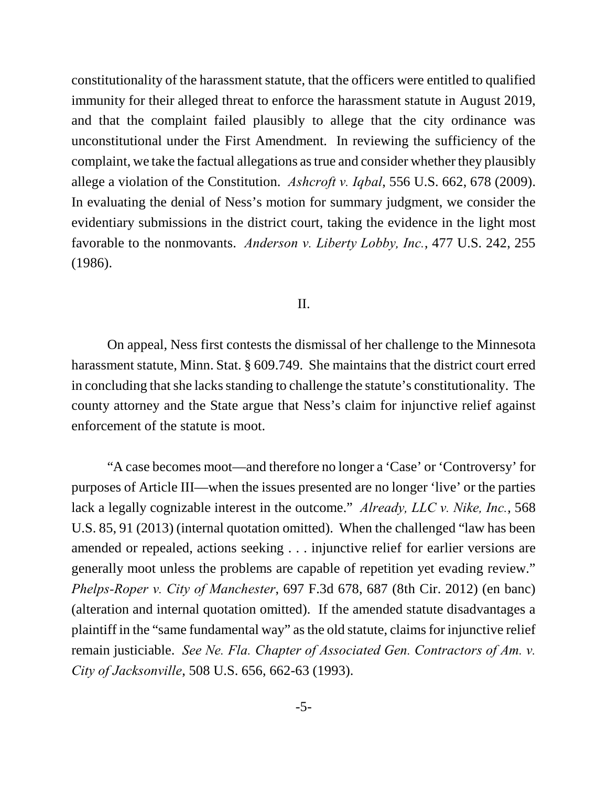constitutionality of the harassment statute, that the officers were entitled to qualified immunity for their alleged threat to enforce the harassment statute in August 2019, and that the complaint failed plausibly to allege that the city ordinance was unconstitutional under the First Amendment. In reviewing the sufficiency of the complaint, we take the factual allegations as true and consider whether they plausibly allege a violation of the Constitution. *Ashcroft v. Iqbal*, 556 U.S. 662, 678 (2009). In evaluating the denial of Ness's motion for summary judgment, we consider the evidentiary submissions in the district court, taking the evidence in the light most favorable to the nonmovants. *Anderson v. Liberty Lobby, Inc.*, 477 U.S. 242, 255 (1986).

## II.

On appeal, Ness first contests the dismissal of her challenge to the Minnesota harassment statute, Minn. Stat. § 609.749. She maintains that the district court erred in concluding that she lacks standing to challenge the statute's constitutionality. The county attorney and the State argue that Ness's claim for injunctive relief against enforcement of the statute is moot.

"A case becomes moot—and therefore no longer a 'Case' or 'Controversy' for purposes of Article III—when the issues presented are no longer 'live' or the parties lack a legally cognizable interest in the outcome." *Already, LLC v. Nike, Inc.*, 568 U.S. 85, 91 (2013) (internal quotation omitted). When the challenged "law has been amended or repealed, actions seeking . . . injunctive relief for earlier versions are generally moot unless the problems are capable of repetition yet evading review." *Phelps-Roper v. City of Manchester*, 697 F.3d 678, 687 (8th Cir. 2012) (en banc) (alteration and internal quotation omitted). If the amended statute disadvantages a plaintiff in the "same fundamental way" as the old statute, claims for injunctive relief remain justiciable. *See Ne. Fla. Chapter of Associated Gen. Contractors of Am. v. City of Jacksonville*, 508 U.S. 656, 662-63 (1993).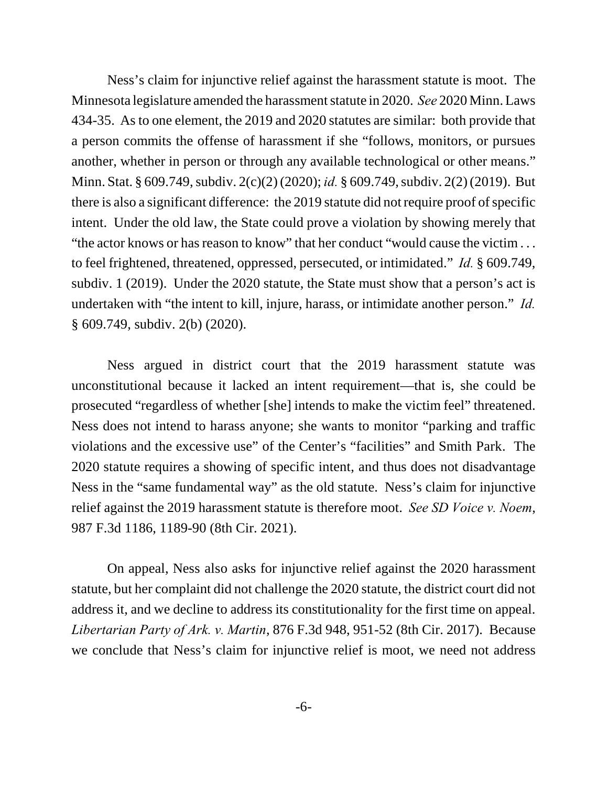Ness's claim for injunctive relief against the harassment statute is moot. The Minnesota legislature amended the harassment statute in 2020. *See* 2020 Minn. Laws 434-35. As to one element, the 2019 and 2020 statutes are similar: both provide that a person commits the offense of harassment if she "follows, monitors, or pursues another, whether in person or through any available technological or other means." Minn. Stat. § 609.749, subdiv. 2(c)(2) (2020); *id.* § 609.749, subdiv. 2(2) (2019). But there is also a significant difference: the 2019 statute did not require proof of specific intent. Under the old law, the State could prove a violation by showing merely that "the actor knows or has reason to know" that her conduct "would cause the victim . . . to feel frightened, threatened, oppressed, persecuted, or intimidated." *Id.* § 609.749, subdiv. 1 (2019). Under the 2020 statute, the State must show that a person's act is undertaken with "the intent to kill, injure, harass, or intimidate another person." *Id.* § 609.749, subdiv. 2(b) (2020).

Ness argued in district court that the 2019 harassment statute was unconstitutional because it lacked an intent requirement—that is, she could be prosecuted "regardless of whether [she] intends to make the victim feel" threatened. Ness does not intend to harass anyone; she wants to monitor "parking and traffic violations and the excessive use" of the Center's "facilities" and Smith Park. The 2020 statute requires a showing of specific intent, and thus does not disadvantage Ness in the "same fundamental way" as the old statute. Ness's claim for injunctive relief against the 2019 harassment statute is therefore moot. *See SD Voice v. Noem*, 987 F.3d 1186, 1189-90 (8th Cir. 2021).

On appeal, Ness also asks for injunctive relief against the 2020 harassment statute, but her complaint did not challenge the 2020 statute, the district court did not address it, and we decline to address its constitutionality for the first time on appeal. *Libertarian Party of Ark. v. Martin*, 876 F.3d 948, 951-52 (8th Cir. 2017). Because we conclude that Ness's claim for injunctive relief is moot, we need not address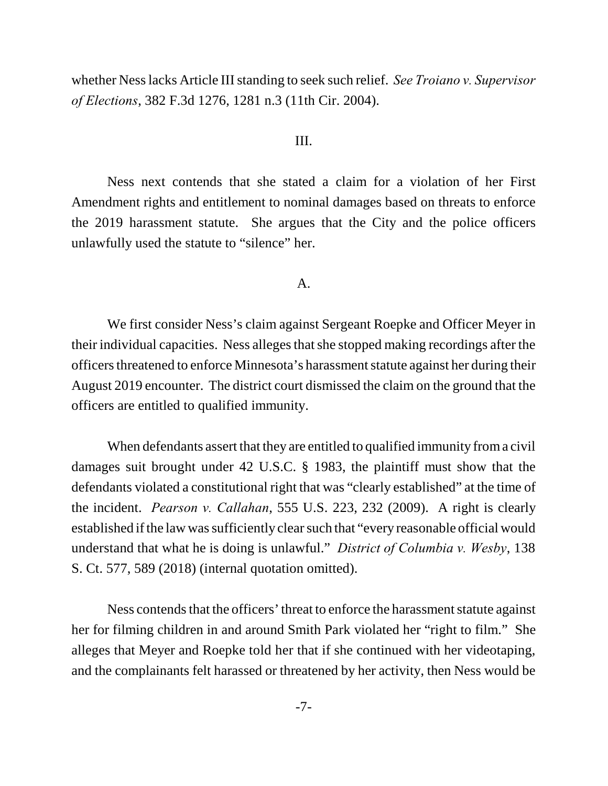whether Ness lacks Article III standing to seek such relief. *See Troiano v. Supervisor of Elections*, 382 F.3d 1276, 1281 n.3 (11th Cir. 2004).

## III.

Ness next contends that she stated a claim for a violation of her First Amendment rights and entitlement to nominal damages based on threats to enforce the 2019 harassment statute. She argues that the City and the police officers unlawfully used the statute to "silence" her.

#### A.

We first consider Ness's claim against Sergeant Roepke and Officer Meyer in their individual capacities. Ness alleges that she stopped making recordings after the officers threatened to enforce Minnesota's harassment statute against her during their August 2019 encounter. The district court dismissed the claim on the ground that the officers are entitled to qualified immunity.

When defendants assert that they are entitled to qualified immunity from a civil damages suit brought under 42 U.S.C. § 1983, the plaintiff must show that the defendants violated a constitutional right that was "clearly established" at the time of the incident. *Pearson v. Callahan*, 555 U.S. 223, 232 (2009). A right is clearly established if the law was sufficiently clear such that "every reasonable official would understand that what he is doing is unlawful." *District of Columbia v. Wesby*, 138 S. Ct. 577, 589 (2018) (internal quotation omitted).

Ness contends that the officers' threat to enforce the harassment statute against her for filming children in and around Smith Park violated her "right to film." She alleges that Meyer and Roepke told her that if she continued with her videotaping, and the complainants felt harassed or threatened by her activity, then Ness would be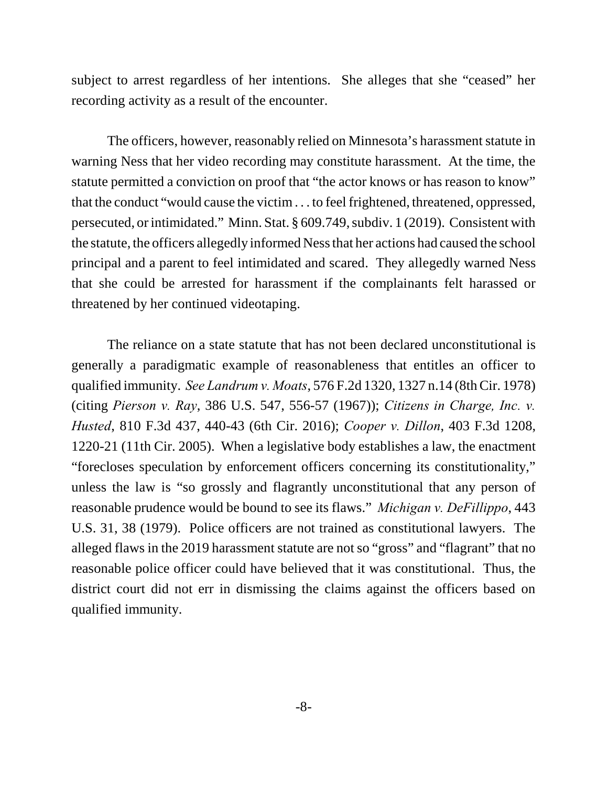subject to arrest regardless of her intentions. She alleges that she "ceased" her recording activity as a result of the encounter.

The officers, however, reasonably relied on Minnesota's harassment statute in warning Ness that her video recording may constitute harassment. At the time, the statute permitted a conviction on proof that "the actor knows or has reason to know" that the conduct "would cause the victim . . . to feel frightened, threatened, oppressed, persecuted, or intimidated." Minn. Stat. § 609.749, subdiv. 1 (2019). Consistent with the statute, the officers allegedly informed Ness that her actions had caused the school principal and a parent to feel intimidated and scared. They allegedly warned Ness that she could be arrested for harassment if the complainants felt harassed or threatened by her continued videotaping.

The reliance on a state statute that has not been declared unconstitutional is generally a paradigmatic example of reasonableness that entitles an officer to qualified immunity. *See Landrum v. Moats*, 576 F.2d 1320, 1327 n.14 (8th Cir. 1978) (citing *Pierson v. Ray*, 386 U.S. 547, 556-57 (1967)); *Citizens in Charge, Inc. v. Husted*, 810 F.3d 437, 440-43 (6th Cir. 2016); *Cooper v. Dillon*, 403 F.3d 1208, 1220-21 (11th Cir. 2005). When a legislative body establishes a law, the enactment "forecloses speculation by enforcement officers concerning its constitutionality," unless the law is "so grossly and flagrantly unconstitutional that any person of reasonable prudence would be bound to see its flaws." *Michigan v. DeFillippo*, 443 U.S. 31, 38 (1979). Police officers are not trained as constitutional lawyers. The alleged flaws in the 2019 harassment statute are not so "gross" and "flagrant" that no reasonable police officer could have believed that it was constitutional. Thus, the district court did not err in dismissing the claims against the officers based on qualified immunity.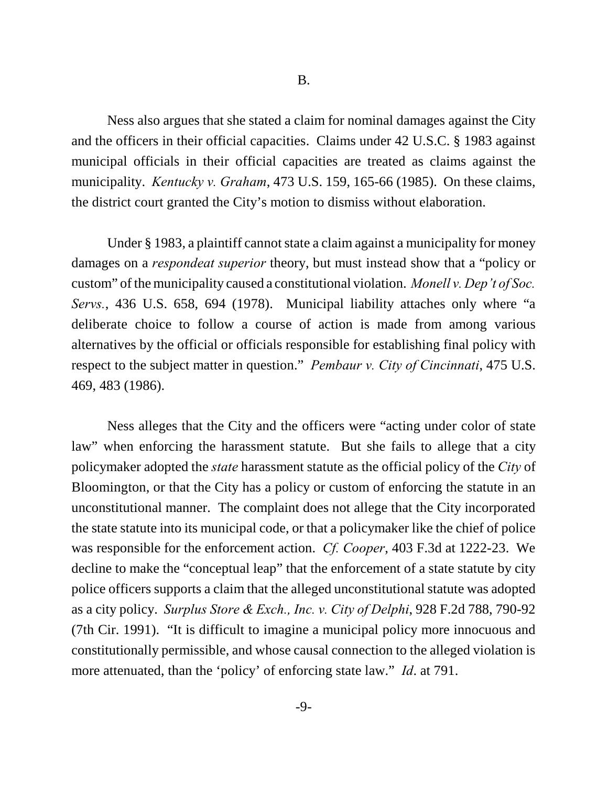Ness also argues that she stated a claim for nominal damages against the City and the officers in their official capacities. Claims under 42 U.S.C. § 1983 against municipal officials in their official capacities are treated as claims against the municipality. *Kentucky v. Graham*, 473 U.S. 159, 165-66 (1985). On these claims, the district court granted the City's motion to dismiss without elaboration.

Under § 1983, a plaintiff cannot state a claim against a municipality for money damages on a *respondeat superior* theory, but must instead show that a "policy or custom" of the municipality caused a constitutional violation. *Monell v. Dep't of Soc. Servs.*, 436 U.S. 658, 694 (1978). Municipal liability attaches only where "a deliberate choice to follow a course of action is made from among various alternatives by the official or officials responsible for establishing final policy with respect to the subject matter in question." *Pembaur v. City of Cincinnati*, 475 U.S. 469, 483 (1986).

Ness alleges that the City and the officers were "acting under color of state law" when enforcing the harassment statute. But she fails to allege that a city policymaker adopted the *state* harassment statute as the official policy of the *City* of Bloomington, or that the City has a policy or custom of enforcing the statute in an unconstitutional manner. The complaint does not allege that the City incorporated the state statute into its municipal code, or that a policymaker like the chief of police was responsible for the enforcement action. *Cf. Cooper*, 403 F.3d at 1222-23. We decline to make the "conceptual leap" that the enforcement of a state statute by city police officers supports a claim that the alleged unconstitutional statute was adopted as a city policy. *Surplus Store & Exch., Inc. v. City of Delphi*, 928 F.2d 788, 790-92 (7th Cir. 1991). "It is difficult to imagine a municipal policy more innocuous and constitutionally permissible, and whose causal connection to the alleged violation is more attenuated, than the 'policy' of enforcing state law." *Id*. at 791.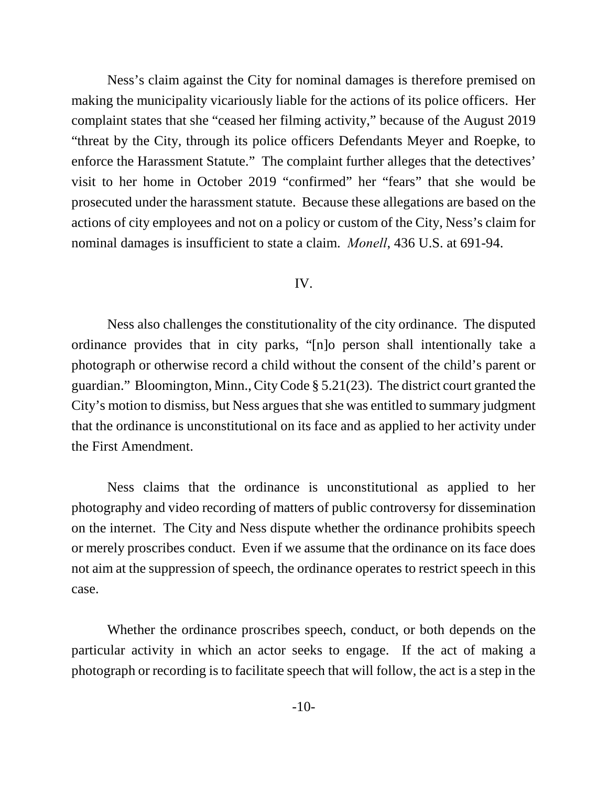Ness's claim against the City for nominal damages is therefore premised on making the municipality vicariously liable for the actions of its police officers. Her complaint states that she "ceased her filming activity," because of the August 2019 "threat by the City, through its police officers Defendants Meyer and Roepke, to enforce the Harassment Statute." The complaint further alleges that the detectives' visit to her home in October 2019 "confirmed" her "fears" that she would be prosecuted under the harassment statute. Because these allegations are based on the actions of city employees and not on a policy or custom of the City, Ness's claim for nominal damages is insufficient to state a claim. *Monell*, 436 U.S. at 691-94.

#### IV.

Ness also challenges the constitutionality of the city ordinance. The disputed ordinance provides that in city parks, "[n]o person shall intentionally take a photograph or otherwise record a child without the consent of the child's parent or guardian." Bloomington, Minn., City Code § 5.21(23). The district court granted the City's motion to dismiss, but Ness argues that she was entitled to summary judgment that the ordinance is unconstitutional on its face and as applied to her activity under the First Amendment.

Ness claims that the ordinance is unconstitutional as applied to her photography and video recording of matters of public controversy for dissemination on the internet. The City and Ness dispute whether the ordinance prohibits speech or merely proscribes conduct. Even if we assume that the ordinance on its face does not aim at the suppression of speech, the ordinance operates to restrict speech in this case.

Whether the ordinance proscribes speech, conduct, or both depends on the particular activity in which an actor seeks to engage. If the act of making a photograph or recording is to facilitate speech that will follow, the act is a step in the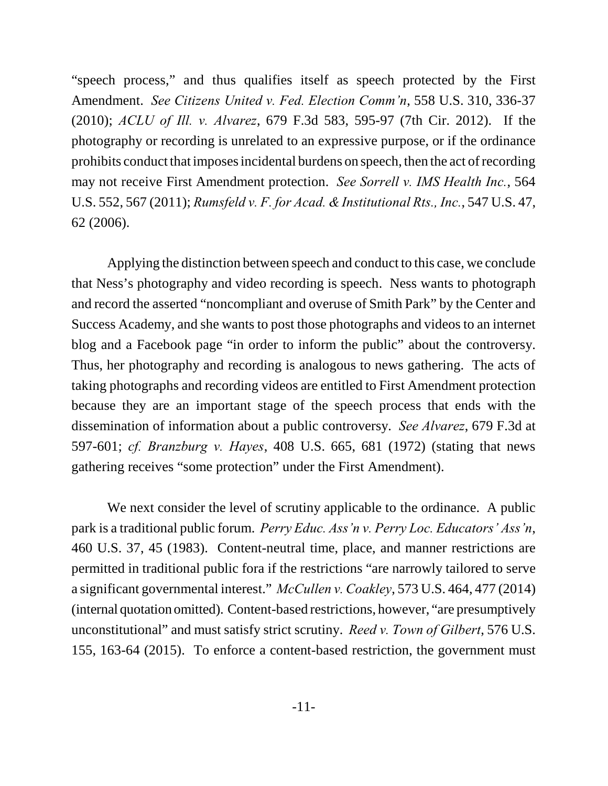"speech process," and thus qualifies itself as speech protected by the First Amendment. *See Citizens United v. Fed. Election Comm'n*, 558 U.S. 310, 336-37 (2010); *ACLU of Ill. v. Alvarez*, 679 F.3d 583, 595-97 (7th Cir. 2012). If the photography or recording is unrelated to an expressive purpose, or if the ordinance prohibits conduct that imposes incidental burdens on speech, then the act of recording may not receive First Amendment protection. *See Sorrell v. IMS Health Inc.*, 564 U.S. 552, 567 (2011); *Rumsfeld v. F. for Acad. & Institutional Rts., Inc.*, 547 U.S. 47, 62 (2006).

Applying the distinction between speech and conduct to this case, we conclude that Ness's photography and video recording is speech. Ness wants to photograph and record the asserted "noncompliant and overuse of Smith Park" by the Center and Success Academy, and she wants to post those photographs and videos to an internet blog and a Facebook page "in order to inform the public" about the controversy. Thus, her photography and recording is analogous to news gathering. The acts of taking photographs and recording videos are entitled to First Amendment protection because they are an important stage of the speech process that ends with the dissemination of information about a public controversy. *See Alvarez*, 679 F.3d at 597-601; *cf. Branzburg v. Hayes*, 408 U.S. 665, 681 (1972) (stating that news gathering receives "some protection" under the First Amendment).

We next consider the level of scrutiny applicable to the ordinance. A public park is a traditional public forum. *Perry Educ. Ass'n v. Perry Loc. Educators' Ass'n*, 460 U.S. 37, 45 (1983). Content-neutral time, place, and manner restrictions are permitted in traditional public fora if the restrictions "are narrowly tailored to serve a significant governmental interest." *McCullen v. Coakley*, 573 U.S. 464, 477 (2014) (internal quotation omitted). Content-based restrictions, however, "are presumptively unconstitutional" and must satisfy strict scrutiny. *Reed v. Town of Gilbert*, 576 U.S. 155, 163-64 (2015). To enforce a content-based restriction, the government must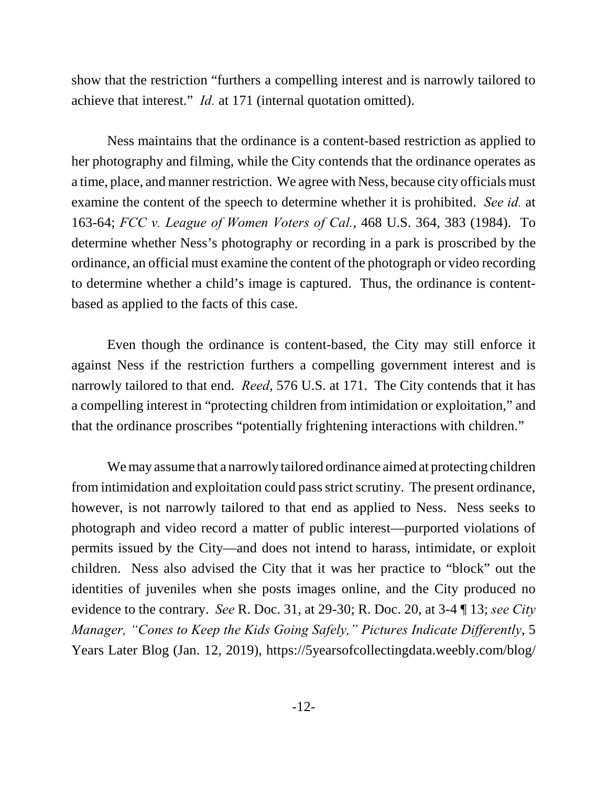show that the restriction "furthers a compelling interest and is narrowly tailored to achieve that interest." *Id.* at 171 (internal quotation omitted).

Ness maintains that the ordinance is a content-based restriction as applied to her photography and filming, while the City contends that the ordinance operates as a time, place, and manner restriction. We agree with Ness, because city officials must examine the content of the speech to determine whether it is prohibited. *See id.* at 163-64; *FCC v. League of Women Voters of Cal.*, 468 U.S. 364, 383 (1984). To determine whether Ness's photography or recording in a park is proscribed by the ordinance, an official must examine the content of the photograph or video recording to determine whether a child's image is captured. Thus, the ordinance is contentbased as applied to the facts of this case.

Even though the ordinance is content-based, the City may still enforce it against Ness if the restriction furthers a compelling government interest and is narrowly tailored to that end. *Reed*, 576 U.S. at 171. The City contends that it has a compelling interest in "protecting children from intimidation or exploitation," and that the ordinance proscribes "potentially frightening interactions with children."

We may assume that a narrowly tailored ordinance aimed at protecting children from intimidation and exploitation could pass strict scrutiny. The present ordinance, however, is not narrowly tailored to that end as applied to Ness. Ness seeks to photograph and video record a matter of public interest—purported violations of permits issued by the City—and does not intend to harass, intimidate, or exploit children. Ness also advised the City that it was her practice to "block" out the identities of juveniles when she posts images online, and the City produced no evidence to the contrary. *See* R. Doc. 31, at 29-30; R. Doc. 20, at 3-4 ¶ 13; *see City Manager, "Cones to Keep the Kids Going Safely," Pictures Indicate Differently*, 5 Years Later Blog (Jan. 12, 2019), https://5yearsofcollectingdata.weebly.com/blog/